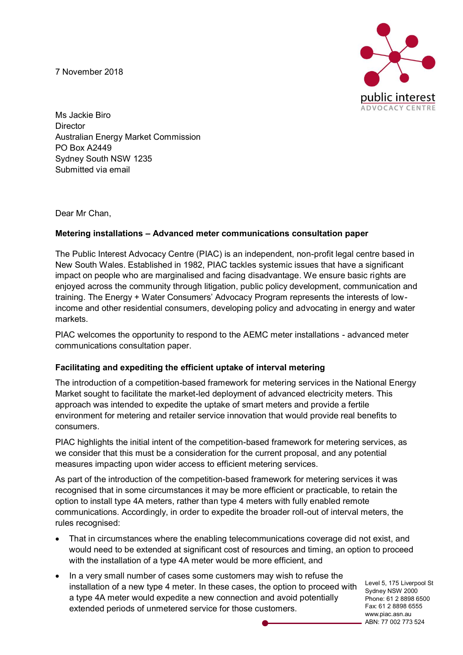7 November 2018



Ms Jackie Biro **Director** Australian Energy Market Commission PO Box A2449 Sydney South NSW 1235 Submitted via email

Dear Mr Chan,

# **Metering installations – Advanced meter communications consultation paper**

The Public Interest Advocacy Centre (PIAC) is an independent, non-profit legal centre based in New South Wales. Established in 1982, PIAC tackles systemic issues that have a significant impact on people who are marginalised and facing disadvantage. We ensure basic rights are enjoyed across the community through litigation, public policy development, communication and training. The Energy + Water Consumers' Advocacy Program represents the interests of lowincome and other residential consumers, developing policy and advocating in energy and water markets.

PIAC welcomes the opportunity to respond to the AEMC meter installations - advanced meter communications consultation paper.

### **Facilitating and expediting the efficient uptake of interval metering**

The introduction of a competition-based framework for metering services in the National Energy Market sought to facilitate the market-led deployment of advanced electricity meters. This approach was intended to expedite the uptake of smart meters and provide a fertile environment for metering and retailer service innovation that would provide real benefits to consumers.

PIAC highlights the initial intent of the competition-based framework for metering services, as we consider that this must be a consideration for the current proposal, and any potential measures impacting upon wider access to efficient metering services.

As part of the introduction of the competition-based framework for metering services it was recognised that in some circumstances it may be more efficient or practicable, to retain the option to install type 4A meters, rather than type 4 meters with fully enabled remote communications. Accordingly, in order to expedite the broader roll-out of interval meters, the rules recognised:

- That in circumstances where the enabling telecommunications coverage did not exist, and would need to be extended at significant cost of resources and timing, an option to proceed with the installation of a type 4A meter would be more efficient, and
- In a very small number of cases some customers may wish to refuse the installation of a new type 4 meter. In these cases, the option to proceed with a type 4A meter would expedite a new connection and avoid potentially extended periods of unmetered service for those customers.

Level 5, 175 Liverpool St Sydney NSW 2000 Phone: 61 2 8898 6500 Fax: 61 2 8898 6555 www.piac.asn.au ABN: 77 002 773 524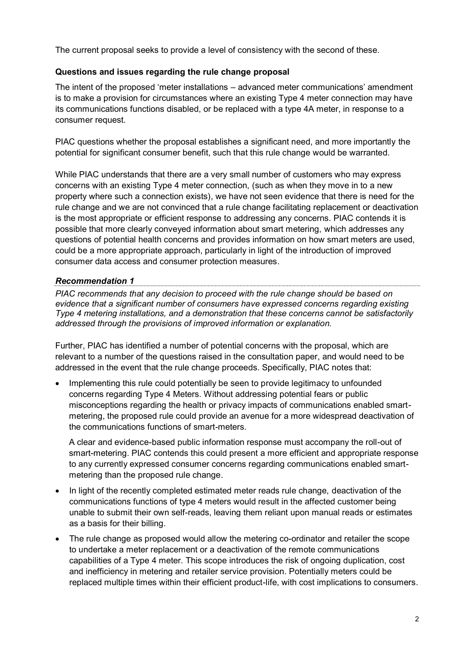The current proposal seeks to provide a level of consistency with the second of these.

# **Questions and issues regarding the rule change proposal**

The intent of the proposed 'meter installations – advanced meter communications' amendment is to make a provision for circumstances where an existing Type 4 meter connection may have its communications functions disabled, or be replaced with a type 4A meter, in response to a consumer request.

PIAC questions whether the proposal establishes a significant need, and more importantly the potential for significant consumer benefit, such that this rule change would be warranted.

While PIAC understands that there are a very small number of customers who may express concerns with an existing Type 4 meter connection, (such as when they move in to a new property where such a connection exists), we have not seen evidence that there is need for the rule change and we are not convinced that a rule change facilitating replacement or deactivation is the most appropriate or efficient response to addressing any concerns. PIAC contends it is possible that more clearly conveyed information about smart metering, which addresses any questions of potential health concerns and provides information on how smart meters are used, could be a more appropriate approach, particularly in light of the introduction of improved consumer data access and consumer protection measures.

## *Recommendation 1*

*PIAC recommends that any decision to proceed with the rule change should be based on evidence that a significant number of consumers have expressed concerns regarding existing Type 4 metering installations, and a demonstration that these concerns cannot be satisfactorily addressed through the provisions of improved information or explanation.* 

Further, PIAC has identified a number of potential concerns with the proposal, which are relevant to a number of the questions raised in the consultation paper, and would need to be addressed in the event that the rule change proceeds. Specifically, PIAC notes that:

• Implementing this rule could potentially be seen to provide legitimacy to unfounded concerns regarding Type 4 Meters. Without addressing potential fears or public misconceptions regarding the health or privacy impacts of communications enabled smartmetering, the proposed rule could provide an avenue for a more widespread deactivation of the communications functions of smart-meters.

A clear and evidence-based public information response must accompany the roll-out of smart-metering. PIAC contends this could present a more efficient and appropriate response to any currently expressed consumer concerns regarding communications enabled smartmetering than the proposed rule change.

- In light of the recently completed estimated meter reads rule change, deactivation of the communications functions of type 4 meters would result in the affected customer being unable to submit their own self-reads, leaving them reliant upon manual reads or estimates as a basis for their billing.
- The rule change as proposed would allow the metering co-ordinator and retailer the scope to undertake a meter replacement or a deactivation of the remote communications capabilities of a Type 4 meter. This scope introduces the risk of ongoing duplication, cost and inefficiency in metering and retailer service provision. Potentially meters could be replaced multiple times within their efficient product-life, with cost implications to consumers.